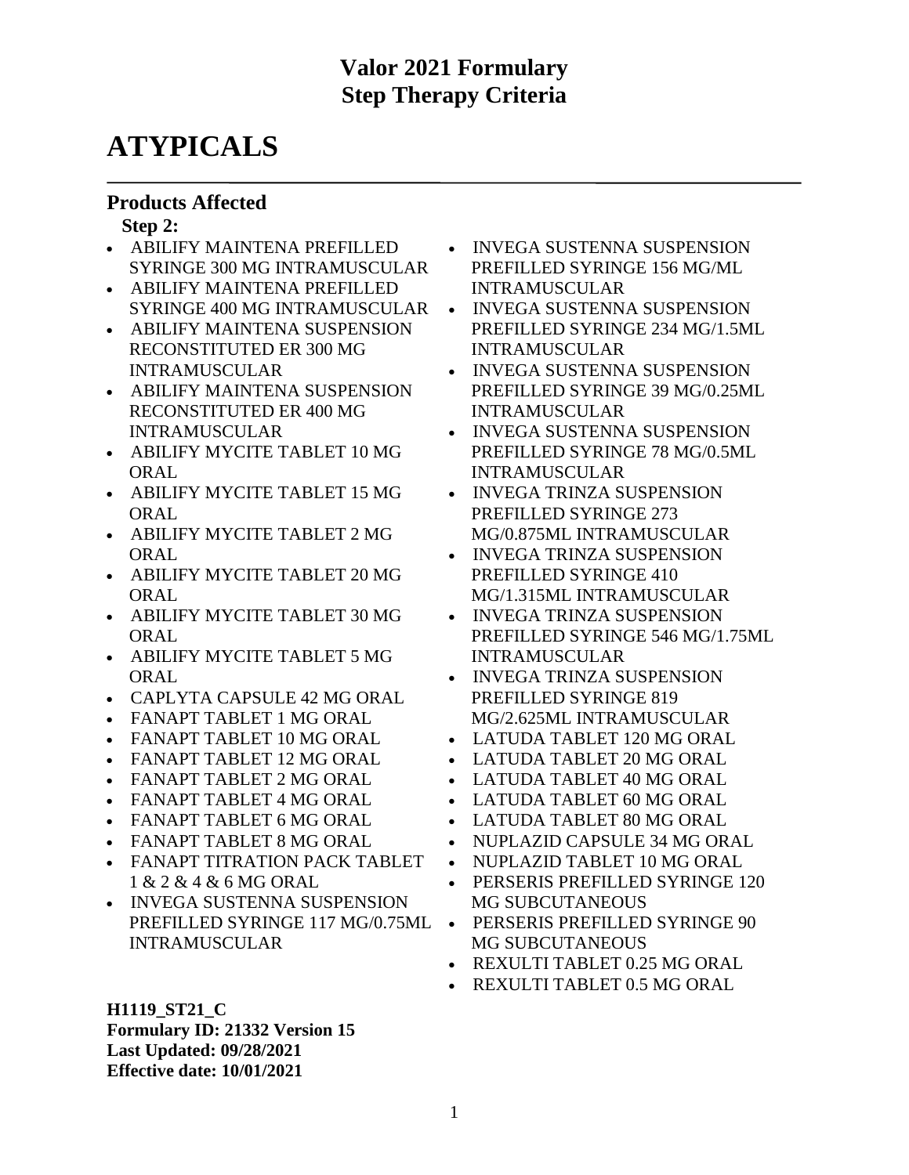# **ATYPICALS**

#### **Products Affected**

#### **Step 2:**

- ABILIFY MAINTENA PREFILLED SYRINGE 300 MG INTRAMUSCULAR
- ABILIFY MAINTENA PREFILLED SYRINGE 400 MG INTRAMUSCULAR
- ABILIFY MAINTENA SUSPENSION RECONSTITUTED ER 300 MG INTRAMUSCULAR
- ABILIFY MAINTENA SUSPENSION RECONSTITUTED ER 400 MG INTRAMUSCULAR
- ABILIFY MYCITE TABLET 10 MG **ORAL**
- ABILIFY MYCITE TABLET 15 MG ORAL
- ABILIFY MYCITE TABLET 2 MG **ORAL**
- ABILIFY MYCITE TABLET 20 MG **ORAL**
- ABILIFY MYCITE TABLET 30 MG ORAL
- ABILIFY MYCITE TABLET 5 MG ORAL
- CAPLYTA CAPSULE 42 MG ORAL
- FANAPT TABLET 1 MG ORAL
- FANAPT TABLET 10 MG ORAL
- FANAPT TABLET 12 MG ORAL
- FANAPT TABLET 2 MG ORAL
- FANAPT TABLET 4 MG ORAL
- FANAPT TABLET 6 MG ORAL
- FANAPT TABLET 8 MG ORAL
- FANAPT TITRATION PACK TABLET 1 & 2 & 4 & 6 MG ORAL
- INVEGA SUSTENNA SUSPENSION PREFILLED SYRINGE 117 MG/0.75ML INTRAMUSCULAR
- **H1119\_ST21\_C Formulary ID: 21332 Version 15**
- **Last Updated: 09/28/2021**

**Effective date: 10/01/2021**

- INVEGA SUSTENNA SUSPENSION PREFILLED SYRINGE 156 MG/ML INTRAMUSCULAR
- INVEGA SUSTENNA SUSPENSION PREFILLED SYRINGE 234 MG/1.5ML INTRAMUSCULAR
- INVEGA SUSTENNA SUSPENSION PREFILLED SYRINGE 39 MG/0.25ML INTRAMUSCULAR
- INVEGA SUSTENNA SUSPENSION PREFILLED SYRINGE 78 MG/0.5ML INTRAMUSCULAR
- INVEGA TRINZA SUSPENSION PREFILLED SYRINGE 273 MG/0.875ML INTRAMUSCULAR
- INVEGA TRINZA SUSPENSION PREFILLED SYRINGE 410 MG/1.315ML INTRAMUSCULAR
- INVEGA TRINZA SUSPENSION PREFILLED SYRINGE 546 MG/1.75ML INTRAMUSCULAR
- INVEGA TRINZA SUSPENSION PREFILLED SYRINGE 819 MG/2.625ML INTRAMUSCULAR
- LATUDA TABLET 120 MG ORAL
- LATUDA TABLET 20 MG ORAL
- LATUDA TABLET 40 MG ORAL
- LATUDA TABLET 60 MG ORAL
- LATUDA TABLET 80 MG ORAL
- NUPLAZID CAPSULE 34 MG ORAL
- NUPLAZID TABLET 10 MG ORAL
- PERSERIS PREFILLED SYRINGE 120 MG SUBCUTANEOUS
- PERSERIS PREFILLED SYRINGE 90 MG SUBCUTANEOUS
- REXULTI TABLET 0.25 MG ORAL
- REXULTI TABLET 0.5 MG ORAL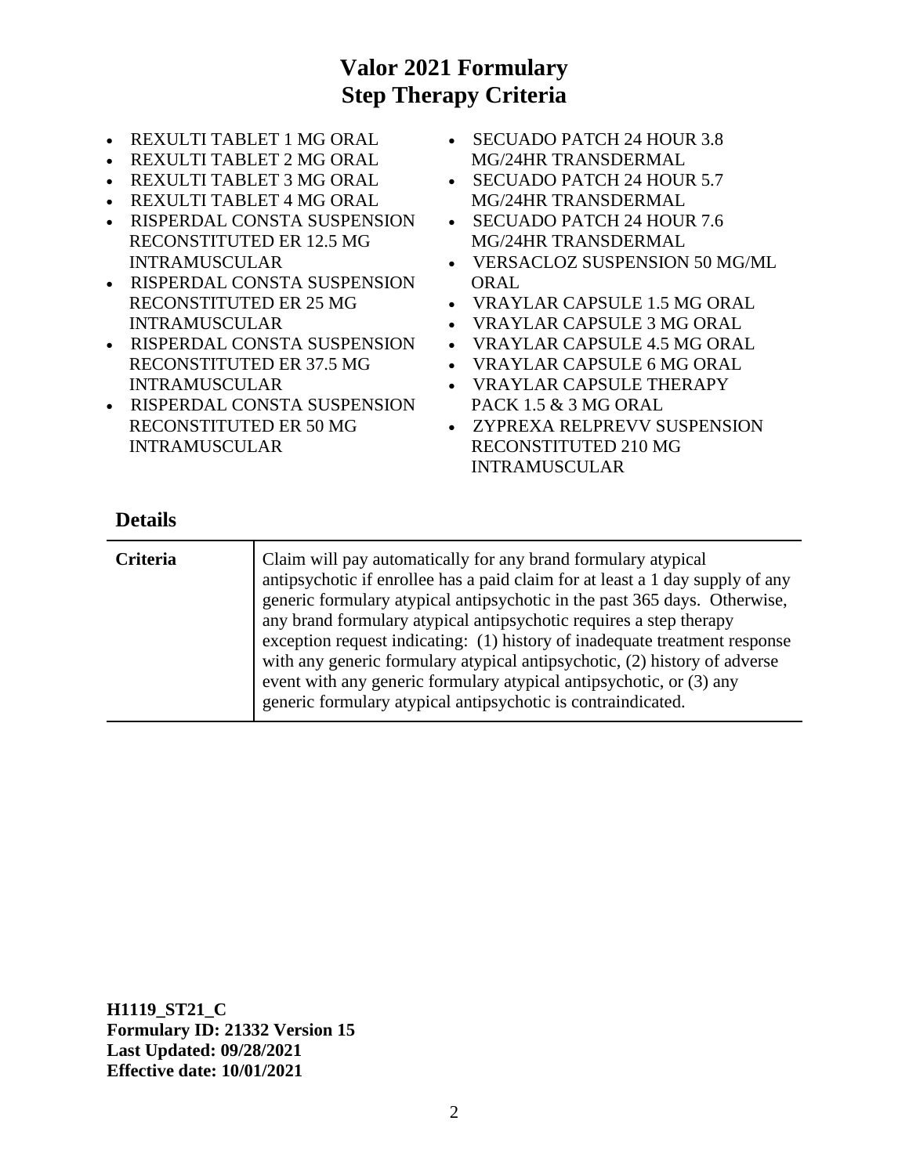- REXULTI TABLET 1 MG ORAL
- REXULTI TABLET 2 MG ORAL
- REXULTI TABLET 3 MG ORAL
- REXULTI TABLET 4 MG ORAL
- RISPERDAL CONSTA SUSPENSION RECONSTITUTED ER 12.5 MG INTRAMUSCULAR
- RISPERDAL CONSTA SUSPENSION RECONSTITUTED ER 25 MG INTRAMUSCULAR
- RISPERDAL CONSTA SUSPENSION RECONSTITUTED ER 37.5 MG INTRAMUSCULAR
- RISPERDAL CONSTA SUSPENSION RECONSTITUTED ER 50 MG INTRAMUSCULAR
- SECUADO PATCH 24 HOUR 3.8 MG/24HR TRANSDERMAL
- SECUADO PATCH 24 HOUR 5.7 MG/24HR TRANSDERMAL
- SECUADO PATCH 24 HOUR 7.6 MG/24HR TRANSDERMAL
- VERSACLOZ SUSPENSION 50 MG/ML **ORAL**
- VRAYLAR CAPSULE 1.5 MG ORAL
- VRAYLAR CAPSULE 3 MG ORAL
- VRAYLAR CAPSULE 4.5 MG ORAL
- VRAYLAR CAPSULE 6 MG ORAL
- VRAYLAR CAPSULE THERAPY PACK 1.5 & 3 MG ORAL
- ZYPREXA RELPREVV SUSPENSION RECONSTITUTED 210 MG INTRAMUSCULAR

#### **Details**

| <b>Criteria</b> | Claim will pay automatically for any brand formulary atypical<br>antipsychotic if enrollee has a paid claim for at least a 1 day supply of any<br>generic formulary atypical antipsychotic in the past 365 days. Otherwise,<br>any brand formulary atypical antipsychotic requires a step therapy<br>exception request indicating: (1) history of inadequate treatment response<br>with any generic formulary atypical antipsychotic, (2) history of adverse<br>event with any generic formulary atypical antipsychotic, or (3) any |
|-----------------|-------------------------------------------------------------------------------------------------------------------------------------------------------------------------------------------------------------------------------------------------------------------------------------------------------------------------------------------------------------------------------------------------------------------------------------------------------------------------------------------------------------------------------------|
|                 | generic formulary atypical antipsychotic is contraindicated.                                                                                                                                                                                                                                                                                                                                                                                                                                                                        |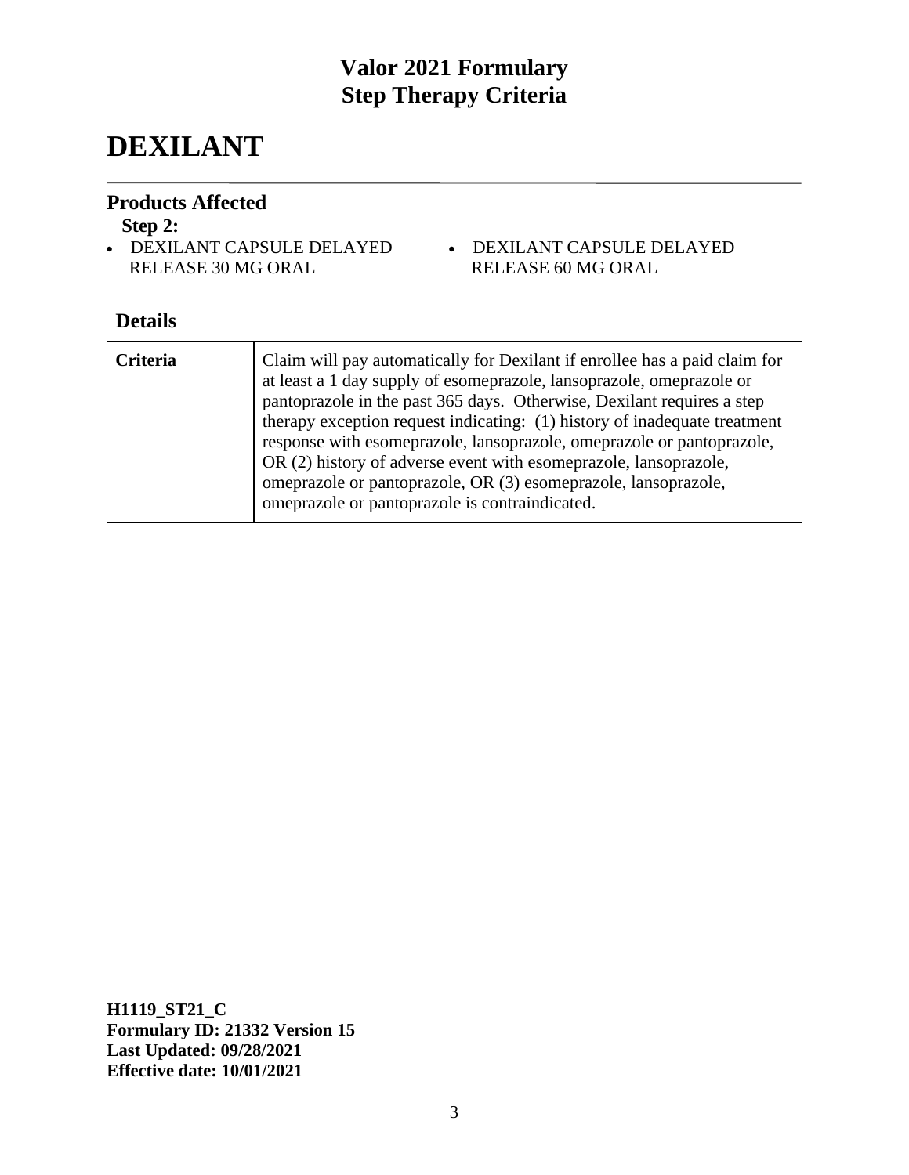# **DEXILANT**

#### **Products Affected**

#### **Step 2:**

- DEXILANT CAPSULE DELAYED RELEASE 30 MG ORAL
- DEXILANT CAPSULE DELAYED RELEASE 60 MG ORAL

### **Details**

| <b>Criteria</b> | Claim will pay automatically for Dexilant if enrollee has a paid claim for<br>at least a 1 day supply of esomeprazole, lansoprazole, omeprazole or<br>pantoprazole in the past 365 days. Otherwise, Dexilant requires a step<br>therapy exception request indicating: (1) history of inadequate treatment<br>response with esomeprazole, lansoprazole, omeprazole or pantoprazole,<br>OR (2) history of adverse event with esomeprazole, lansoprazole,<br>omeprazole or pantoprazole, OR (3) esomeprazole, lansoprazole,<br>omeprazole or pantoprazole is contraindicated. |
|-----------------|----------------------------------------------------------------------------------------------------------------------------------------------------------------------------------------------------------------------------------------------------------------------------------------------------------------------------------------------------------------------------------------------------------------------------------------------------------------------------------------------------------------------------------------------------------------------------|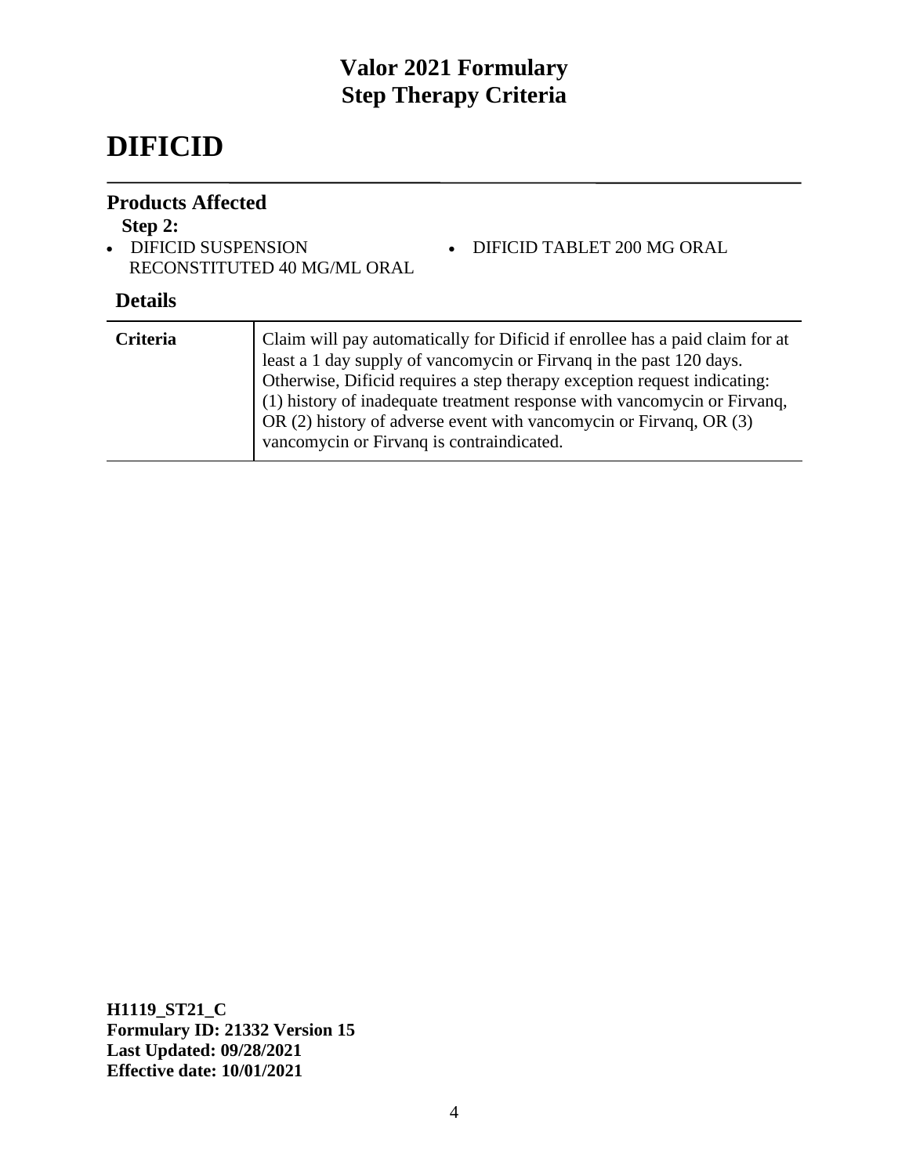# **DIFICID**

#### **Products Affected**

### **Step 2:**

• DIFICID SUSPENSION RECONSTITUTED 40 MG/ML ORAL

#### **Details**

| <b>Criteria</b> | Claim will pay automatically for Dificid if enrollee has a paid claim for at<br>least a 1 day supply of vancomycin or Firvang in the past 120 days.<br>Otherwise, Dificid requires a step therapy exception request indicating:<br>(1) history of inadequate treatment response with vancomycin or Firvanq,<br>OR (2) history of adverse event with vancomycin or Firvang, OR (3)<br>vancomycin or Firvanq is contraindicated. |
|-----------------|--------------------------------------------------------------------------------------------------------------------------------------------------------------------------------------------------------------------------------------------------------------------------------------------------------------------------------------------------------------------------------------------------------------------------------|
|                 |                                                                                                                                                                                                                                                                                                                                                                                                                                |

• DIFICID TABLET 200 MG ORAL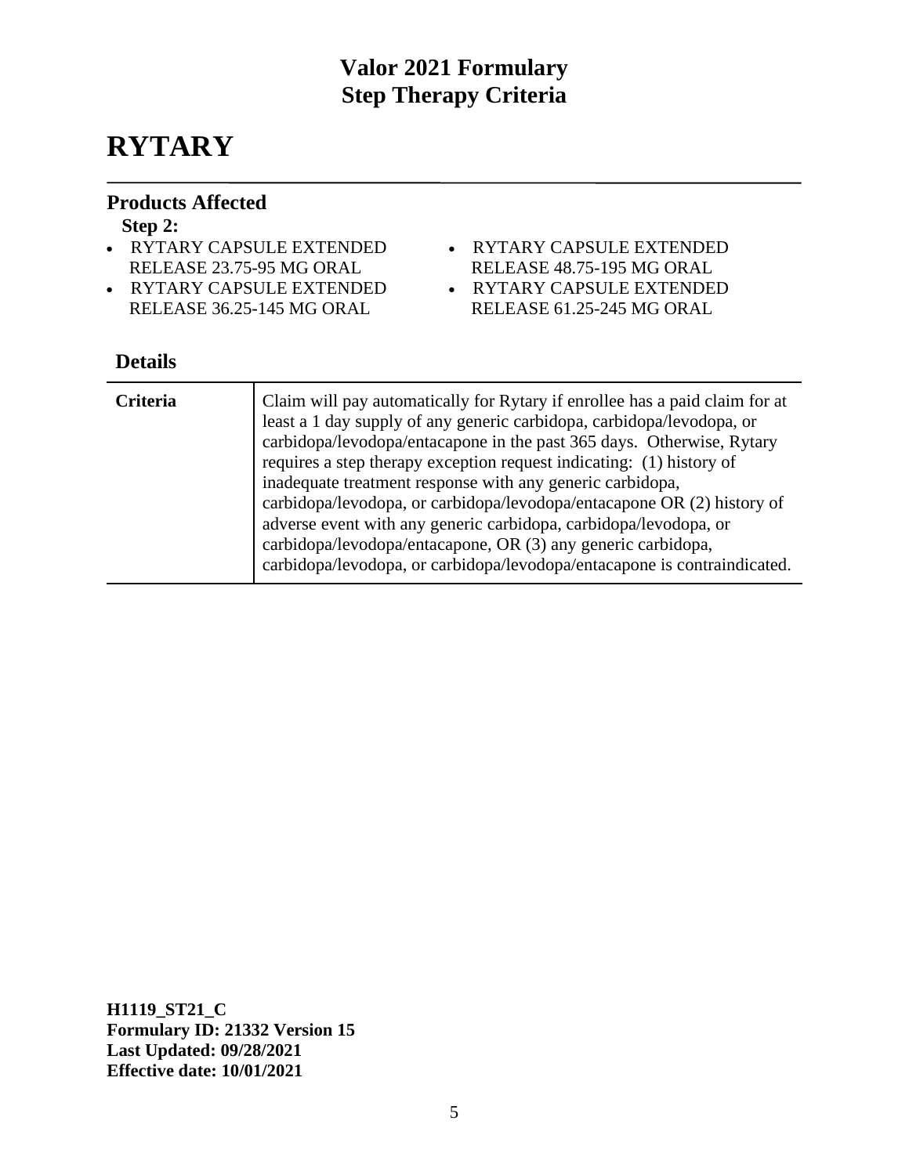# **RYTARY**

#### **Products Affected**

#### **Step 2:**

- RYTARY CAPSULE EXTENDED RELEASE 23.75-95 MG ORAL
- RYTARY CAPSULE EXTENDED RELEASE 36.25-145 MG ORAL
- RYTARY CAPSULE EXTENDED
	- RELEASE 48.75-195 MG ORAL
- RYTARY CAPSULE EXTENDED
- RELEASE 61.25-245 MG ORAL

### **Details**

| <b>Criteria</b> | Claim will pay automatically for Rytary if enrollee has a paid claim for at<br>least a 1 day supply of any generic carbidopa, carbidopa/levodopa, or<br>carbidopa/levodopa/entacapone in the past 365 days. Otherwise, Rytary<br>requires a step therapy exception request indicating: (1) history of<br>inadequate treatment response with any generic carbidopa,<br>carbidopa/levodopa, or carbidopa/levodopa/entacapone OR (2) history of<br>adverse event with any generic carbidopa, carbidopa/levodopa, or<br>carbidopa/levodopa/entacapone, OR (3) any generic carbidopa,<br>carbidopa/levodopa, or carbidopa/levodopa/entacapone is contraindicated. |
|-----------------|--------------------------------------------------------------------------------------------------------------------------------------------------------------------------------------------------------------------------------------------------------------------------------------------------------------------------------------------------------------------------------------------------------------------------------------------------------------------------------------------------------------------------------------------------------------------------------------------------------------------------------------------------------------|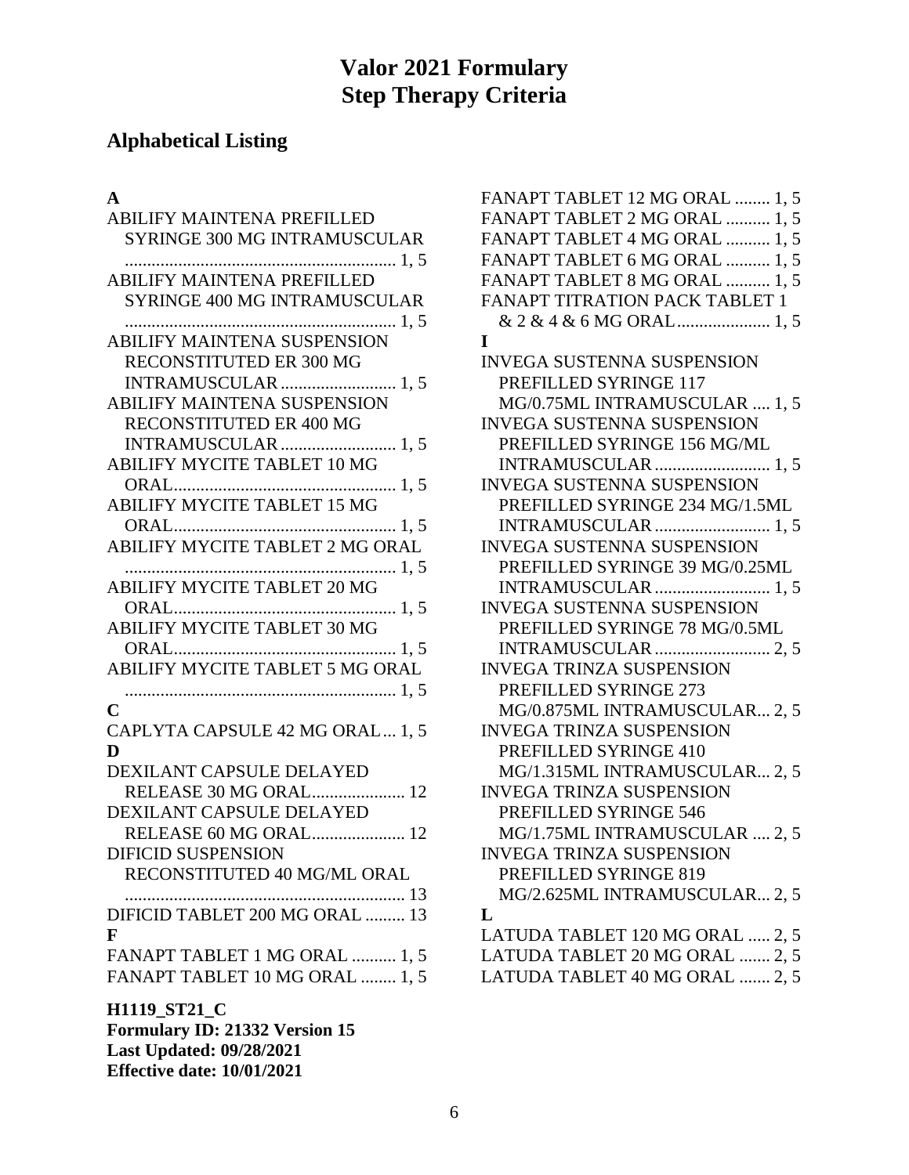# **Alphabetical Listing**

### **A**

| ABILIFY MAINTENA PREFILLED            |
|---------------------------------------|
| <b>SYRINGE 300 MG INTRAMUSCULAR</b>   |
|                                       |
| <b>ABILIFY MAINTENA PREFILLED</b>     |
| <b>SYRINGE 400 MG INTRAMUSCULAR</b>   |
|                                       |
| <b>ABILIFY MAINTENA SUSPENSION</b>    |
| RECONSTITUTED ER 300 MG               |
| <b>INTRAMUSCULAR</b> 1, 5             |
| <b>ABILIFY MAINTENA SUSPENSION</b>    |
| RECONSTITUTED ER 400 MG               |
| <b>INTRAMUSCULAR</b> 1, 5             |
| ABILIFY MYCITE TABLET 10 MG           |
|                                       |
| <b>ABILIFY MYCITE TABLET 15 MG</b>    |
|                                       |
| ABILIFY MYCITE TABLET 2 MG ORAL       |
| 1, 5                                  |
| <b>ABILIFY MYCITE TABLET 20 MG</b>    |
|                                       |
| <b>ABILIFY MYCITE TABLET 30 MG</b>    |
|                                       |
| ABILIFY MYCITE TABLET 5 MG ORAL       |
|                                       |
| C                                     |
| CAPLYTA CAPSULE 42 MG ORAL 1, 5       |
| D                                     |
| DEXILANT CAPSULE DELAYED              |
| RELEASE 30 MG ORAL 12                 |
| DEXILANT CAPSULE DELAYED              |
| RELEASE 60 MG ORAL 12                 |
| <b>DIFICID SUSPENSION</b>             |
| RECONSTITUTED 40 MG/ML ORAL           |
| 13                                    |
| DIFICID TABLET 200 MG ORAL  13        |
| $\mathbf{F}$                          |
| FANAPT TABLET 1 MG ORAL  1, 5         |
| FANAPT TABLET 10 MG ORAL  1, 5        |
| H1119_ST21_C                          |
| <b>Formulary ID: 21332 Version 15</b> |

**Last Updated: 09/28/2021 Effective date: 10/01/2021**

| FANAPT TABLET 12 MG ORAL  1, 5        |
|---------------------------------------|
| FANAPT TABLET 2 MG ORAL  1, 5         |
| FANAPT TABLET 4 MG ORAL  1, 5         |
| FANAPT TABLET 6 MG ORAL  1, 5         |
| FANAPT TABLET 8 MG ORAL  1, 5         |
| <b>FANAPT TITRATION PACK TABLET 1</b> |
| & 2 & 4 & 6 MG ORAL 1, 5              |
| I                                     |
| <b>INVEGA SUSTENNA SUSPENSION</b>     |
| PREFILLED SYRINGE 117                 |
| MG/0.75ML INTRAMUSCULAR  1, 5         |
| <b>INVEGA SUSTENNA SUSPENSION</b>     |
| PREFILLED SYRINGE 156 MG/ML           |
|                                       |
| INVEGA SUSTENNA SUSPENSION            |
| PREFILLED SYRINGE 234 MG/1.5ML        |
| <b>INTRAMUSCULAR</b> 1, 5             |
| <b>INVEGA SUSTENNA SUSPENSION</b>     |
| PREFILLED SYRINGE 39 MG/0.25ML        |
| INTRAMUSCULAR  1, 5                   |
| INVEGA SUSTENNA SUSPENSION            |
| PREFILLED SYRINGE 78 MG/0.5ML         |
|                                       |
| <b>INVEGA TRINZA SUSPENSION</b>       |
| PREFILLED SYRINGE 273                 |
| MG/0.875ML INTRAMUSCULAR 2, 5         |
| <b>INVEGA TRINZA SUSPENSION</b>       |
| PREFILLED SYRINGE 410                 |
| MG/1.315ML INTRAMUSCULAR 2, 5         |
| <b>INVEGA TRINZA SUSPENSION</b>       |
| <b>PREFILLED SYRINGE 546</b>          |
| MG/1.75ML INTRAMUSCULAR  2, 5         |
| <b>INVEGA TRINZA SUSPENSION</b>       |
| PREFILLED SYRINGE 819                 |
| MG/2.625ML INTRAMUSCULAR 2, 5         |
| L                                     |
| LATUDA TABLET 120 MG ORAL  2, 5       |
| LATUDA TABLET 20 MG ORAL  2, 5        |
| LATUDA TABLET 40 MG ORAL  2, 5        |